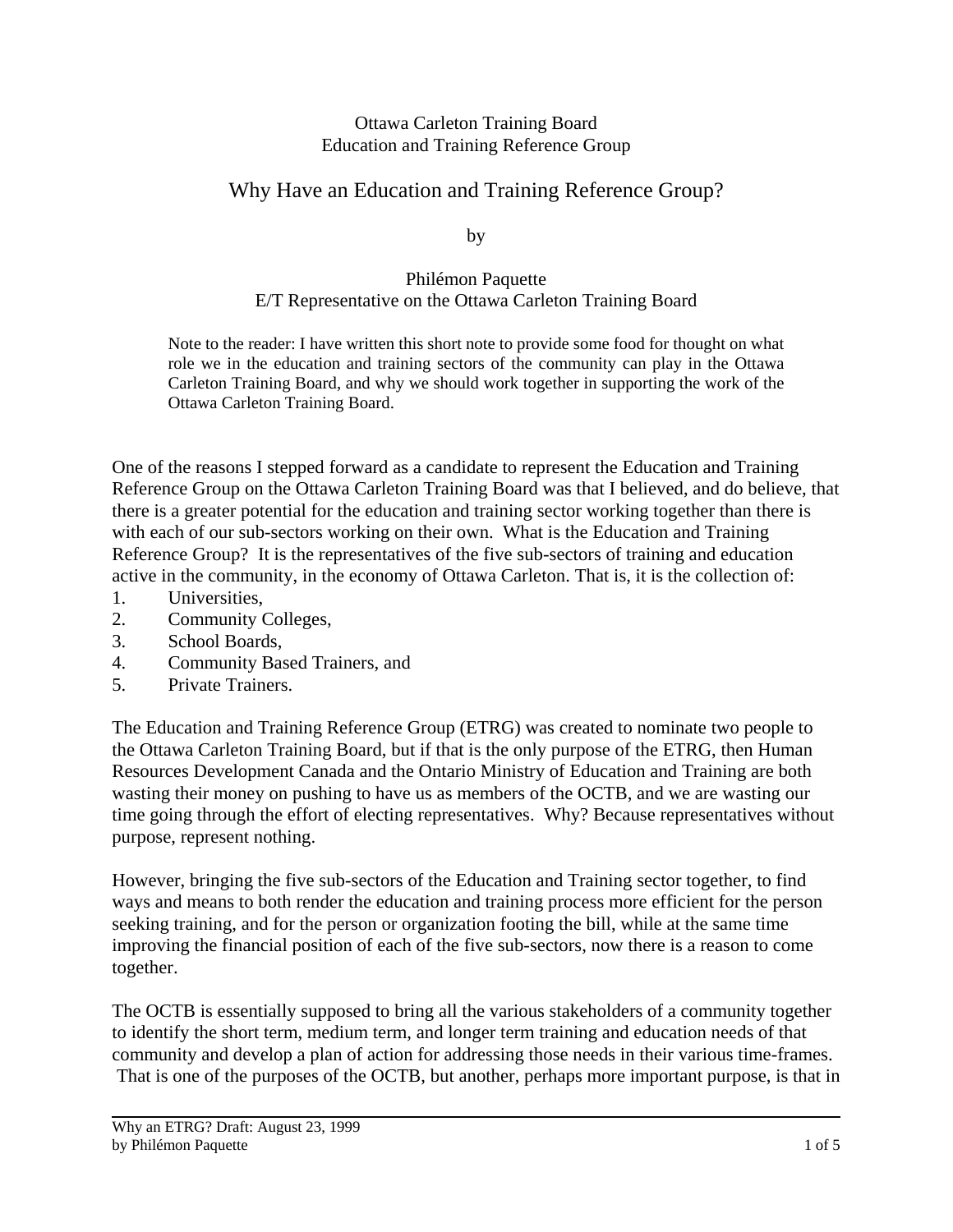## Ottawa Carleton Training Board Education and Training Reference Group

## Why Have an Education and Training Reference Group?

by

## Philémon Paquette E/T Representative on the Ottawa Carleton Training Board

Note to the reader: I have written this short note to provide some food for thought on what role we in the education and training sectors of the community can play in the Ottawa Carleton Training Board, and why we should work together in supporting the work of the Ottawa Carleton Training Board.

One of the reasons I stepped forward as a candidate to represent the Education and Training Reference Group on the Ottawa Carleton Training Board was that I believed, and do believe, that there is a greater potential for the education and training sector working together than there is with each of our sub-sectors working on their own. What is the Education and Training Reference Group? It is the representatives of the five sub-sectors of training and education active in the community, in the economy of Ottawa Carleton. That is, it is the collection of:

- 1. Universities,
- 2. Community Colleges,
- 3. School Boards,
- 4. Community Based Trainers, and
- 5. Private Trainers.

The Education and Training Reference Group (ETRG) was created to nominate two people to the Ottawa Carleton Training Board, but if that is the only purpose of the ETRG, then Human Resources Development Canada and the Ontario Ministry of Education and Training are both wasting their money on pushing to have us as members of the OCTB, and we are wasting our time going through the effort of electing representatives. Why? Because representatives without purpose, represent nothing.

However, bringing the five sub-sectors of the Education and Training sector together, to find ways and means to both render the education and training process more efficient for the person seeking training, and for the person or organization footing the bill, while at the same time improving the financial position of each of the five sub-sectors, now there is a reason to come together.

The OCTB is essentially supposed to bring all the various stakeholders of a community together to identify the short term, medium term, and longer term training and education needs of that community and develop a plan of action for addressing those needs in their various time-frames. That is one of the purposes of the OCTB, but another, perhaps more important purpose, is that in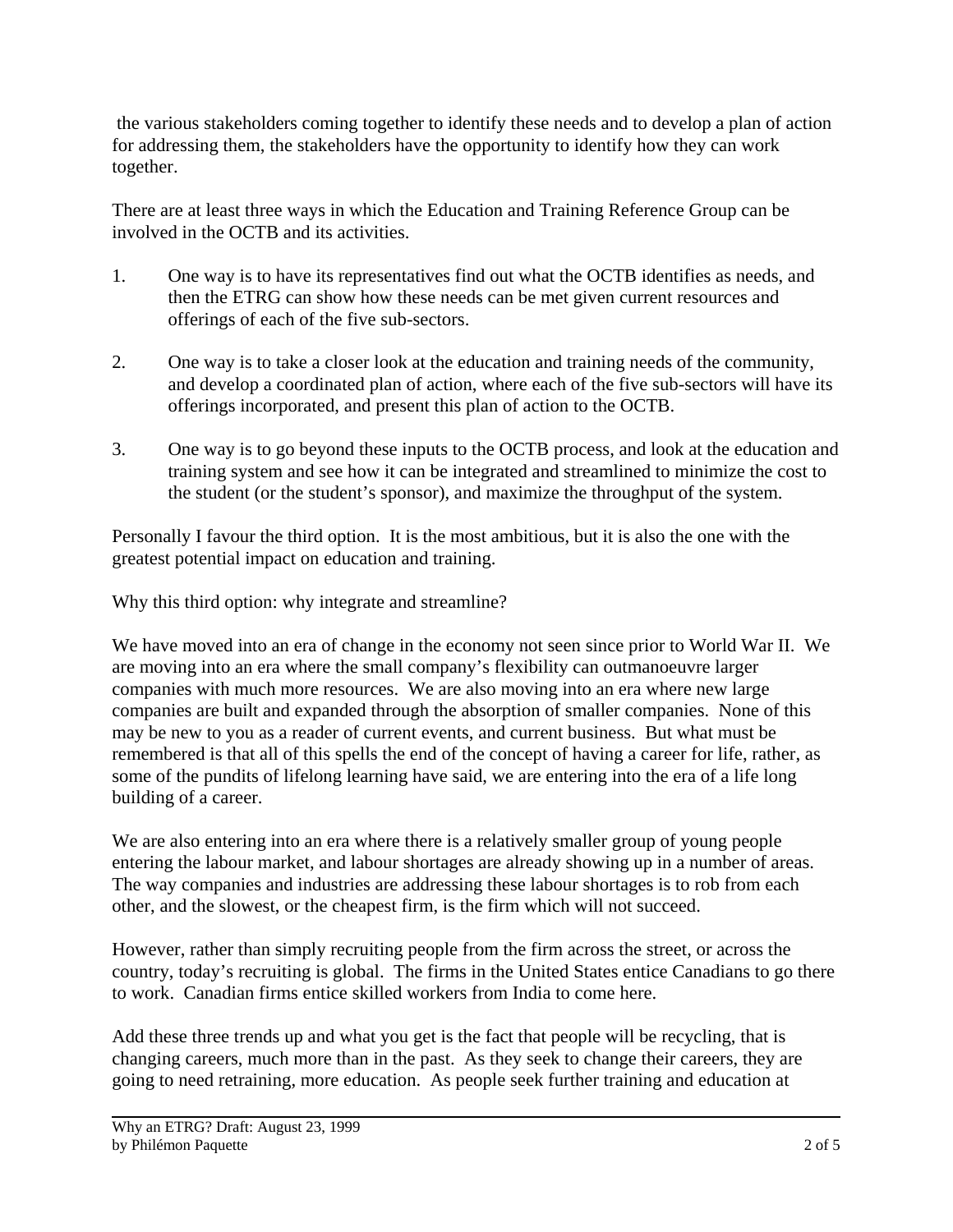the various stakeholders coming together to identify these needs and to develop a plan of action for addressing them, the stakeholders have the opportunity to identify how they can work together.

There are at least three ways in which the Education and Training Reference Group can be involved in the OCTB and its activities.

- 1. One way is to have its representatives find out what the OCTB identifies as needs, and then the ETRG can show how these needs can be met given current resources and offerings of each of the five sub-sectors.
- 2. One way is to take a closer look at the education and training needs of the community, and develop a coordinated plan of action, where each of the five sub-sectors will have its offerings incorporated, and present this plan of action to the OCTB.
- 3. One way is to go beyond these inputs to the OCTB process, and look at the education and training system and see how it can be integrated and streamlined to minimize the cost to the student (or the student's sponsor), and maximize the throughput of the system.

Personally I favour the third option. It is the most ambitious, but it is also the one with the greatest potential impact on education and training.

Why this third option: why integrate and streamline?

We have moved into an era of change in the economy not seen since prior to World War II. We are moving into an era where the small company's flexibility can outmanoeuvre larger companies with much more resources. We are also moving into an era where new large companies are built and expanded through the absorption of smaller companies. None of this may be new to you as a reader of current events, and current business. But what must be remembered is that all of this spells the end of the concept of having a career for life, rather, as some of the pundits of lifelong learning have said, we are entering into the era of a life long building of a career.

We are also entering into an era where there is a relatively smaller group of young people entering the labour market, and labour shortages are already showing up in a number of areas. The way companies and industries are addressing these labour shortages is to rob from each other, and the slowest, or the cheapest firm, is the firm which will not succeed.

However, rather than simply recruiting people from the firm across the street, or across the country, today's recruiting is global. The firms in the United States entice Canadians to go there to work. Canadian firms entice skilled workers from India to come here.

Add these three trends up and what you get is the fact that people will be recycling, that is changing careers, much more than in the past. As they seek to change their careers, they are going to need retraining, more education. As people seek further training and education at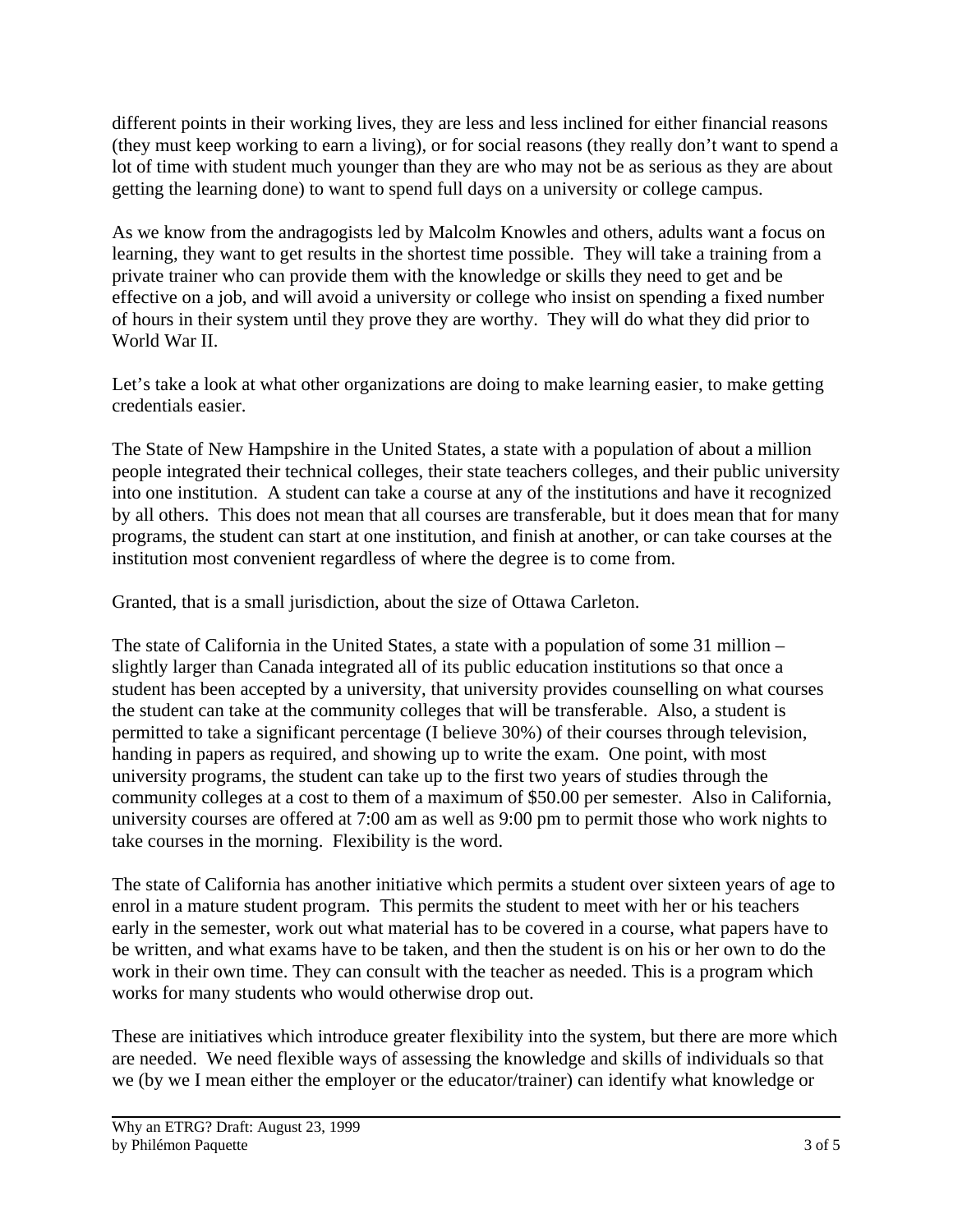different points in their working lives, they are less and less inclined for either financial reasons (they must keep working to earn a living), or for social reasons (they really don't want to spend a lot of time with student much younger than they are who may not be as serious as they are about getting the learning done) to want to spend full days on a university or college campus.

As we know from the andragogists led by Malcolm Knowles and others, adults want a focus on learning, they want to get results in the shortest time possible. They will take a training from a private trainer who can provide them with the knowledge or skills they need to get and be effective on a job, and will avoid a university or college who insist on spending a fixed number of hours in their system until they prove they are worthy. They will do what they did prior to World War II.

Let's take a look at what other organizations are doing to make learning easier, to make getting credentials easier.

The State of New Hampshire in the United States, a state with a population of about a million people integrated their technical colleges, their state teachers colleges, and their public university into one institution. A student can take a course at any of the institutions and have it recognized by all others. This does not mean that all courses are transferable, but it does mean that for many programs, the student can start at one institution, and finish at another, or can take courses at the institution most convenient regardless of where the degree is to come from.

Granted, that is a small jurisdiction, about the size of Ottawa Carleton.

The state of California in the United States, a state with a population of some 31 million – slightly larger than Canada integrated all of its public education institutions so that once a student has been accepted by a university, that university provides counselling on what courses the student can take at the community colleges that will be transferable. Also, a student is permitted to take a significant percentage (I believe 30%) of their courses through television, handing in papers as required, and showing up to write the exam. One point, with most university programs, the student can take up to the first two years of studies through the community colleges at a cost to them of a maximum of \$50.00 per semester. Also in California, university courses are offered at 7:00 am as well as 9:00 pm to permit those who work nights to take courses in the morning. Flexibility is the word.

The state of California has another initiative which permits a student over sixteen years of age to enrol in a mature student program. This permits the student to meet with her or his teachers early in the semester, work out what material has to be covered in a course, what papers have to be written, and what exams have to be taken, and then the student is on his or her own to do the work in their own time. They can consult with the teacher as needed. This is a program which works for many students who would otherwise drop out.

These are initiatives which introduce greater flexibility into the system, but there are more which are needed. We need flexible ways of assessing the knowledge and skills of individuals so that we (by we I mean either the employer or the educator/trainer) can identify what knowledge or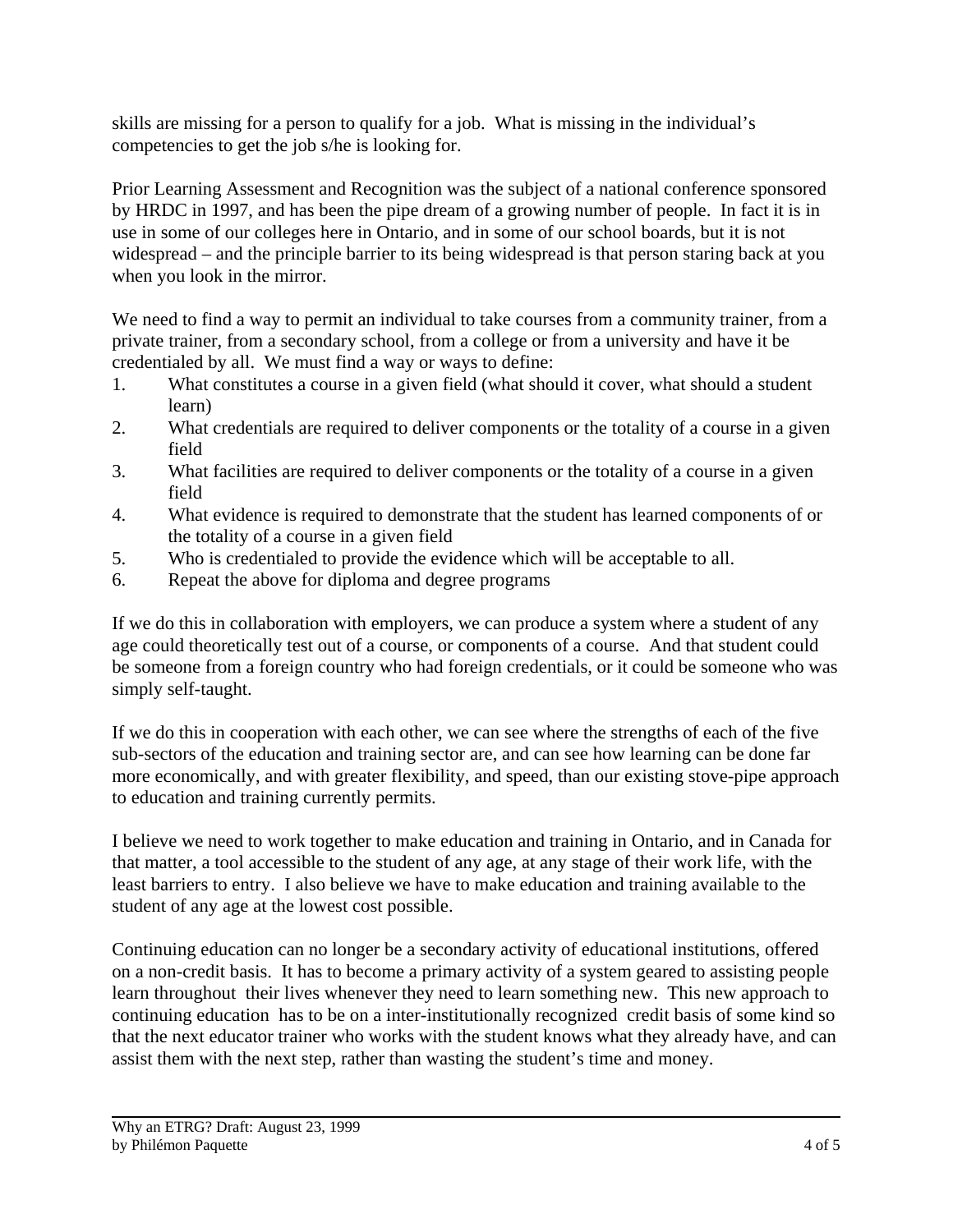skills are missing for a person to qualify for a job. What is missing in the individual's competencies to get the job s/he is looking for.

Prior Learning Assessment and Recognition was the subject of a national conference sponsored by HRDC in 1997, and has been the pipe dream of a growing number of people. In fact it is in use in some of our colleges here in Ontario, and in some of our school boards, but it is not widespread – and the principle barrier to its being widespread is that person staring back at you when you look in the mirror.

We need to find a way to permit an individual to take courses from a community trainer, from a private trainer, from a secondary school, from a college or from a university and have it be credentialed by all. We must find a way or ways to define:

- 1. What constitutes a course in a given field (what should it cover, what should a student learn)
- 2. What credentials are required to deliver components or the totality of a course in a given field
- 3. What facilities are required to deliver components or the totality of a course in a given field
- 4. What evidence is required to demonstrate that the student has learned components of or the totality of a course in a given field
- 5. Who is credentialed to provide the evidence which will be acceptable to all.
- 6. Repeat the above for diploma and degree programs

If we do this in collaboration with employers, we can produce a system where a student of any age could theoretically test out of a course, or components of a course. And that student could be someone from a foreign country who had foreign credentials, or it could be someone who was simply self-taught.

If we do this in cooperation with each other, we can see where the strengths of each of the five sub-sectors of the education and training sector are, and can see how learning can be done far more economically, and with greater flexibility, and speed, than our existing stove-pipe approach to education and training currently permits.

I believe we need to work together to make education and training in Ontario, and in Canada for that matter, a tool accessible to the student of any age, at any stage of their work life, with the least barriers to entry. I also believe we have to make education and training available to the student of any age at the lowest cost possible.

Continuing education can no longer be a secondary activity of educational institutions, offered on a non-credit basis. It has to become a primary activity of a system geared to assisting people learn throughout their lives whenever they need to learn something new. This new approach to continuing education has to be on a inter-institutionally recognized credit basis of some kind so that the next educator trainer who works with the student knows what they already have, and can assist them with the next step, rather than wasting the student's time and money.